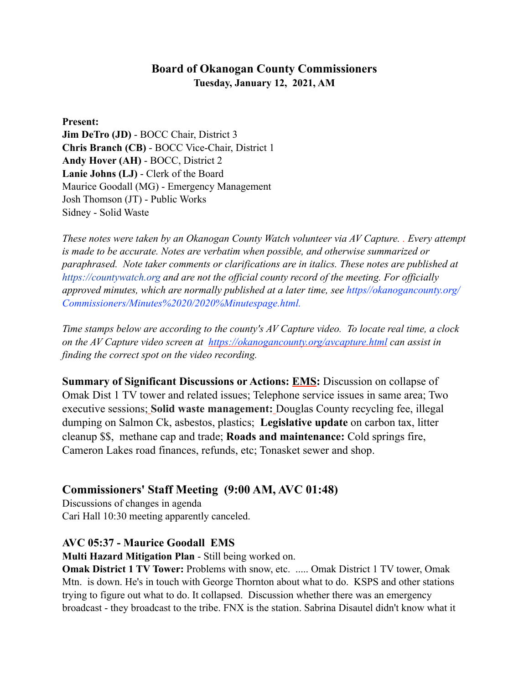## **Board of Okanogan County Commissioners Tuesday, January 12, 2021, AM**

**Present:** 

**Jim DeTro (JD)** - BOCC Chair, District 3 **Chris Branch (CB)** - BOCC Vice-Chair, District 1 **Andy Hover (AH)** - BOCC, District 2 **Lanie Johns (LJ)** - Clerk of the Board Maurice Goodall (MG) - Emergency Management Josh Thomson (JT) - Public Works Sidney - Solid Waste

*These notes were taken by an Okanogan County Watch volunteer via AV Capture. . Every attempt is made to be accurate. Notes are verbatim when possible, and otherwise summarized or paraphrased. Note taker comments or clarifications are in italics. These notes are published at https://countywatch.org and are not the official county record of the meeting. For officially approved minutes, which are normally published at a later time, see https//okanogancounty.org/ Commissioners/Minutes%2020/2020%Minutespage.html.* 

*Time stamps below are according to the county's AV Capture video. To locate real time, a clock on the AV Capture video screen at <https://okanogancounty.org/avcapture.html> can assist in finding the correct spot on the video recording.* 

**Summary of Significant Discussions or Actions: EMS:** Discussion on collapse of Omak Dist 1 TV tower and related issues; Telephone service issues in same area; Two executive sessions; **Solid waste management:** Douglas County recycling fee, illegal dumping on Salmon Ck, asbestos, plastics; **Legislative update** on carbon tax, litter cleanup \$\$, methane cap and trade; **Roads and maintenance:** Cold springs fire, Cameron Lakes road finances, refunds, etc; Tonasket sewer and shop.

# **Commissioners' Staff Meeting (9:00 AM, AVC 01:48)**

Discussions of changes in agenda Cari Hall 10:30 meeting apparently canceled.

### **AVC 05:37 - Maurice Goodall EMS**

**Multi Hazard Mitigation Plan** - Still being worked on.

**Omak District 1 TV Tower:** Problems with snow, etc. ..... Omak District 1 TV tower, Omak Mtn. is down. He's in touch with George Thornton about what to do. KSPS and other stations trying to figure out what to do. It collapsed. Discussion whether there was an emergency broadcast - they broadcast to the tribe. FNX is the station. Sabrina Disautel didn't know what it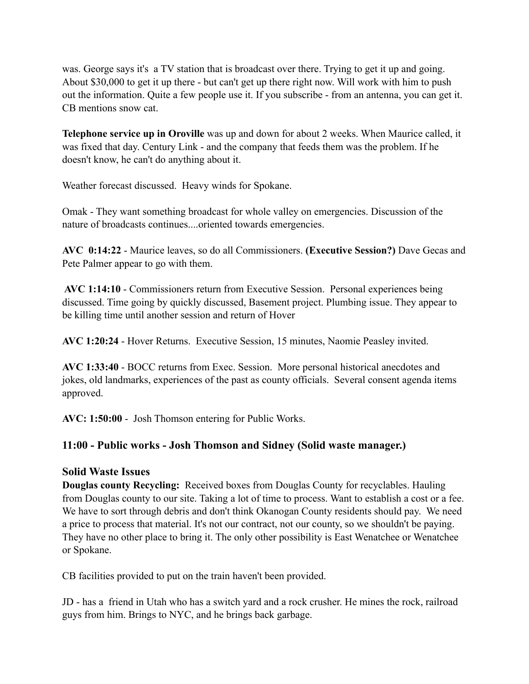was. George says it's a TV station that is broadcast over there. Trying to get it up and going. About \$30,000 to get it up there - but can't get up there right now. Will work with him to push out the information. Quite a few people use it. If you subscribe - from an antenna, you can get it. CB mentions snow cat.

**Telephone service up in Oroville** was up and down for about 2 weeks. When Maurice called, it was fixed that day. Century Link - and the company that feeds them was the problem. If he doesn't know, he can't do anything about it.

Weather forecast discussed. Heavy winds for Spokane.

Omak - They want something broadcast for whole valley on emergencies. Discussion of the nature of broadcasts continues....oriented towards emergencies.

**AVC 0:14:22** - Maurice leaves, so do all Commissioners. **(Executive Session?)** Dave Gecas and Pete Palmer appear to go with them.

 **AVC 1:14:10** - Commissioners return from Executive Session. Personal experiences being discussed. Time going by quickly discussed, Basement project. Plumbing issue. They appear to be killing time until another session and return of Hover

**AVC 1:20:24** - Hover Returns. Executive Session, 15 minutes, Naomie Peasley invited.

**AVC 1:33:40** - BOCC returns from Exec. Session. More personal historical anecdotes and jokes, old landmarks, experiences of the past as county officials. Several consent agenda items approved.

**AVC: 1:50:00** - Josh Thomson entering for Public Works.

### **11:00 - Public works - Josh Thomson and Sidney (Solid waste manager.)**

### **Solid Waste Issues**

**Douglas county Recycling:** Received boxes from Douglas County for recyclables. Hauling from Douglas county to our site. Taking a lot of time to process. Want to establish a cost or a fee. We have to sort through debris and don't think Okanogan County residents should pay. We need a price to process that material. It's not our contract, not our county, so we shouldn't be paying. They have no other place to bring it. The only other possibility is East Wenatchee or Wenatchee or Spokane.

CB facilities provided to put on the train haven't been provided.

JD - has a friend in Utah who has a switch yard and a rock crusher. He mines the rock, railroad guys from him. Brings to NYC, and he brings back garbage.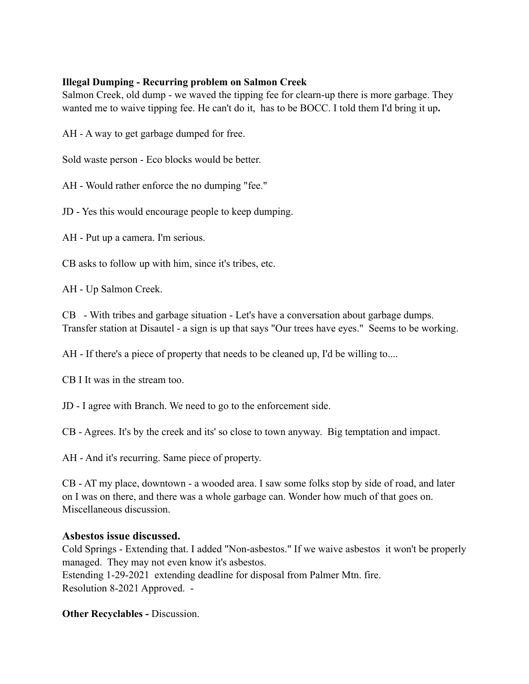#### **Illegal Dumping - Recurring problem on Salmon Creek**

Salmon Creek, old dump - we waved the tipping fee for clearn-up there is more garbage. They wanted me to waive tipping fee. He can't do it, has to be BOCC. I told them I'd bring it up**.** 

AH - A way to get garbage dumped for free.

Sold waste person - Eco blocks would be better.

AH - Would rather enforce the no dumping "fee."

JD - Yes this would encourage people to keep dumping.

AH - Put up a camera. I'm serious.

CB asks to follow up with him, since it's tribes, etc.

AH - Up Salmon Creek.

CB - With tribes and garbage situation - Let's have a conversation about garbage dumps. Transfer station at Disautel - a sign is up that says "Our trees have eyes." Seems to be working.

AH - If there's a piece of property that needs to be cleaned up, I'd be willing to....

CB I It was in the stream too.

JD - I agree with Branch. We need to go to the enforcement side.

CB - Agrees. It's by the creek and its' so close to town anyway. Big temptation and impact.

AH - And it's recurring. Same piece of property.

CB - AT my place, downtown - a wooded area. I saw some folks stop by side of road, and later on I was on there, and there was a whole garbage can. Wonder how much of that goes on. Miscellaneous discussion.

#### **Asbestos issue discussed.**

Cold Springs - Extending that. I added "Non-asbestos." If we waive asbestos it won't be properly managed. They may not even know it's asbestos. Estending 1-29-2021 extending deadline for disposal from Palmer Mtn. fire. Resolution 8-2021 Approved. -

**Other Recyclables -** Discussion.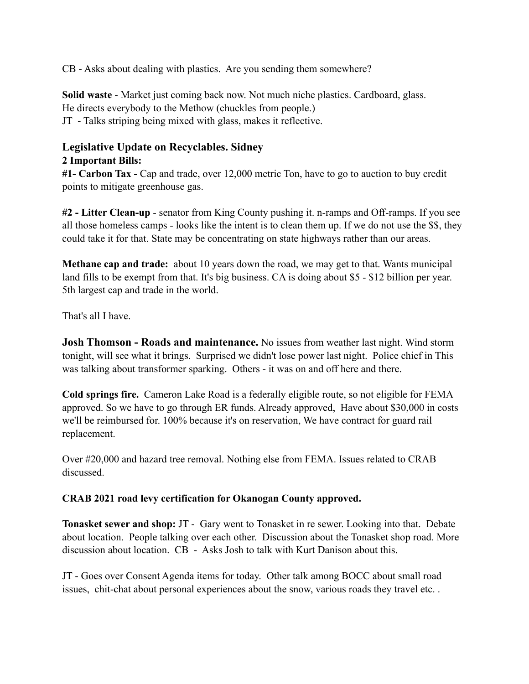CB - Asks about dealing with plastics. Are you sending them somewhere?

**Solid waste** - Market just coming back now. Not much niche plastics. Cardboard, glass. He directs everybody to the Methow (chuckles from people.) JT - Talks striping being mixed with glass, makes it reflective.

#### **Legislative Update on Recyclables. Sidney 2 Important Bills:**

**#1- Carbon Tax -** Cap and trade, over 12,000 metric Ton, have to go to auction to buy credit points to mitigate greenhouse gas.

**#2 - Litter Clean-up** - senator from King County pushing it. n-ramps and Off-ramps. If you see all those homeless camps - looks like the intent is to clean them up. If we do not use the \$\$, they could take it for that. State may be concentrating on state highways rather than our areas.

**Methane cap and trade:** about 10 years down the road, we may get to that. Wants municipal land fills to be exempt from that. It's big business. CA is doing about \$5 - \$12 billion per year. 5th largest cap and trade in the world.

That's all I have.

**Josh Thomson - Roads and maintenance.** No issues from weather last night. Wind storm tonight, will see what it brings. Surprised we didn't lose power last night. Police chief in This was talking about transformer sparking. Others - it was on and off here and there.

**Cold springs fire.** Cameron Lake Road is a federally eligible route, so not eligible for FEMA approved. So we have to go through ER funds. Already approved, Have about \$30,000 in costs we'll be reimbursed for. 100% because it's on reservation, We have contract for guard rail replacement.

Over #20,000 and hazard tree removal. Nothing else from FEMA. Issues related to CRAB discussed.

### **CRAB 2021 road levy certification for Okanogan County approved.**

**Tonasket sewer and shop:** JT - Gary went to Tonasket in re sewer. Looking into that. Debate about location. People talking over each other. Discussion about the Tonasket shop road. More discussion about location. CB - Asks Josh to talk with Kurt Danison about this.

JT - Goes over Consent Agenda items for today. Other talk among BOCC about small road issues, chit-chat about personal experiences about the snow, various roads they travel etc. .